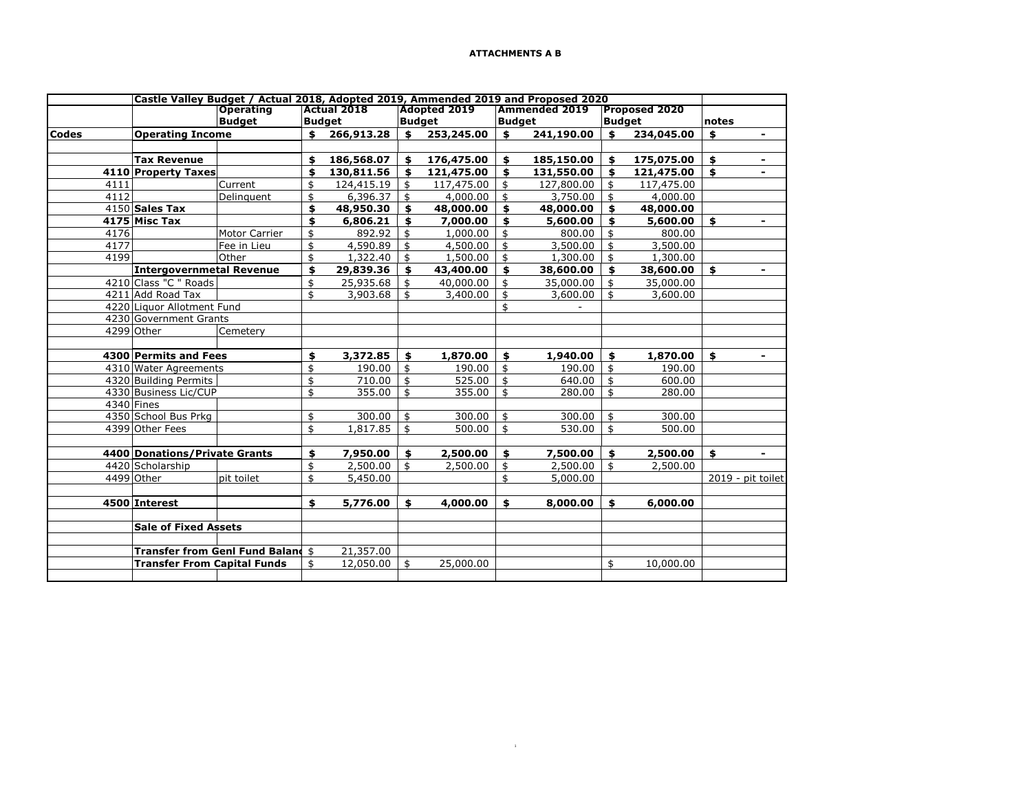|              |      |                                    | Castle Valley Budget / Actual 2018, Adopted 2019, Ammended 2019 and Proposed 2020 |    |                    |            |                     |               |                      |               |                      |       |                   |
|--------------|------|------------------------------------|-----------------------------------------------------------------------------------|----|--------------------|------------|---------------------|---------------|----------------------|---------------|----------------------|-------|-------------------|
|              |      |                                    | <b>Operating</b>                                                                  |    | <b>Actual 2018</b> |            | <b>Adopted 2019</b> |               | <b>Ammended 2019</b> |               | <b>Proposed 2020</b> |       |                   |
|              |      | <b>Budget</b>                      |                                                                                   |    | <b>Budget</b>      |            | <b>Budget</b>       | <b>Budget</b> |                      | <b>Budget</b> |                      | notes |                   |
| <b>Codes</b> |      | <b>Operating Income</b>            |                                                                                   | \$ | 266,913.28         | \$         | 253,245.00          | \$            | 241,190.00           | \$            | 234,045.00           | \$    | $\blacksquare$    |
|              |      |                                    |                                                                                   |    |                    |            |                     |               |                      |               |                      |       |                   |
|              |      | <b>Tax Revenue</b>                 |                                                                                   | \$ | 186,568.07         | \$         | 176,475.00          | \$            | 185,150.00           | \$            | 175,075.00           | \$    | Ξ.                |
|              |      | 4110 Property Taxes                |                                                                                   | \$ | 130,811.56         |            | 121,475.00          | \$            | 131,550.00           | \$            | 121,475.00           | \$    | ۰                 |
|              | 4111 |                                    | Current                                                                           | \$ | 124,415.19         | \$         | 117,475.00          | \$            | 127,800.00           | \$            | 117,475.00           |       |                   |
|              | 4112 |                                    | Delinquent                                                                        | \$ | 6,396.37           | -\$        | 4,000.00            | \$            | 3,750.00             | \$            | 4,000.00             |       |                   |
|              |      | 4150 Sales Tax                     |                                                                                   | \$ | 48,950.30          | \$         | 48,000.00           | \$            | 48,000.00            | \$            | 48,000.00            |       |                   |
|              |      | 4175 Misc Tax                      |                                                                                   | \$ | 6,806.21           | \$         | 7,000.00            | \$            | 5,600.00             | \$            | 5,600.00             | \$    | Ξ.                |
|              | 4176 |                                    | <b>Motor Carrier</b>                                                              | \$ | 892.92             | \$         | 1,000.00            | \$            | 800.00               | \$            | 800.00               |       |                   |
|              | 4177 |                                    | Fee in Lieu                                                                       | \$ | 4,590.89           | \$         | 4,500.00            | \$            | 3,500.00             | \$            | 3,500.00             |       |                   |
|              | 4199 |                                    | Other                                                                             | \$ | 1,322.40           | \$         | 1,500.00            | \$            | 1,300.00             | \$            | 1,300.00             |       |                   |
|              |      | <b>Intergovernmetal Revenue</b>    |                                                                                   | \$ | 29,839.36          |            | 43,400.00           | \$            | 38,600.00            | \$            | 38,600.00            | \$    | ۰                 |
|              |      | 4210 Class "C " Roads              |                                                                                   | \$ | 25,935.68          | \$         | 40,000.00           | \$            | 35,000.00            | \$            | 35,000.00            |       |                   |
|              |      | 4211 Add Road Tax                  |                                                                                   | \$ | 3,903.68           | \$         | 3,400.00            | \$            | 3,600.00             | \$            | 3,600.00             |       |                   |
|              |      | 4220 Liquor Allotment Fund         |                                                                                   |    |                    |            |                     | \$            |                      |               |                      |       |                   |
|              |      | 4230 Government Grants             |                                                                                   |    |                    |            |                     |               |                      |               |                      |       |                   |
|              |      | 4299 Other                         | Cemetery                                                                          |    |                    |            |                     |               |                      |               |                      |       |                   |
|              |      |                                    |                                                                                   |    |                    |            |                     |               |                      |               |                      |       |                   |
|              |      | 4300 Permits and Fees              |                                                                                   | \$ | 3,372.85           | \$         | 1,870.00            | \$            | 1,940.00             | \$            | 1,870.00             | \$    | ۰                 |
|              |      | 4310 Water Agreements              |                                                                                   | \$ | 190.00             | \$         | 190.00              | \$            | 190.00               | \$            | 190.00               |       |                   |
|              |      | 4320 Building Permits              |                                                                                   | \$ | 710.00             | $\sqrt{2}$ | 525.00              | \$            | 640.00               | \$            | 600.00               |       |                   |
|              |      | 4330 Business Lic/CUP              |                                                                                   | \$ | 355.00             | \$         | 355.00              | \$            | 280.00               | \$            | 280.00               |       |                   |
|              |      | 4340 Fines                         |                                                                                   |    |                    |            |                     |               |                      |               |                      |       |                   |
|              |      | 4350 School Bus Prkg               |                                                                                   | \$ | 300.00             | \$         | 300.00              | \$            | 300.00               | \$            | 300.00               |       |                   |
|              |      | 4399 Other Fees                    |                                                                                   | \$ | 1,817.85           | \$         | 500.00              | \$            | 530.00               | \$            | 500.00               |       |                   |
|              |      |                                    |                                                                                   |    |                    |            |                     |               |                      |               |                      |       |                   |
|              |      | 4400 Donations/Private Grants      |                                                                                   | \$ | 7,950.00           | \$         | 2,500.00            | \$            | 7,500.00             | \$            | 2,500.00             | \$    | ۰                 |
|              |      | 4420 Scholarship                   |                                                                                   | \$ | 2,500.00           | \$         | 2,500.00            | \$            | 2,500.00             | \$            | 2,500.00             |       |                   |
|              |      | 4499 Other                         | pit toilet                                                                        | \$ | 5,450.00           |            |                     |               | 5,000.00             |               |                      |       | 2019 - pit toilet |
|              |      |                                    |                                                                                   |    |                    |            |                     |               |                      |               |                      |       |                   |
|              |      | 4500 Interest                      |                                                                                   | \$ | 5,776.00           | \$         | 4,000.00            | \$            | 8,000.00             | \$            | 6,000.00             |       |                   |
|              |      |                                    |                                                                                   |    |                    |            |                     |               |                      |               |                      |       |                   |
|              |      | <b>Sale of Fixed Assets</b>        |                                                                                   |    |                    |            |                     |               |                      |               |                      |       |                   |
|              |      |                                    |                                                                                   |    |                    |            |                     |               |                      |               |                      |       |                   |
|              |      |                                    | <b>Transfer from Genl Fund Baland \$</b>                                          |    | 21,357.00          |            |                     |               |                      |               |                      |       |                   |
|              |      |                                    |                                                                                   |    |                    |            |                     |               |                      |               |                      |       |                   |
|              |      | <b>Transfer From Capital Funds</b> |                                                                                   | \$ | 12,050.00          | \$         | 25,000.00           |               |                      | \$            | 10,000.00            |       |                   |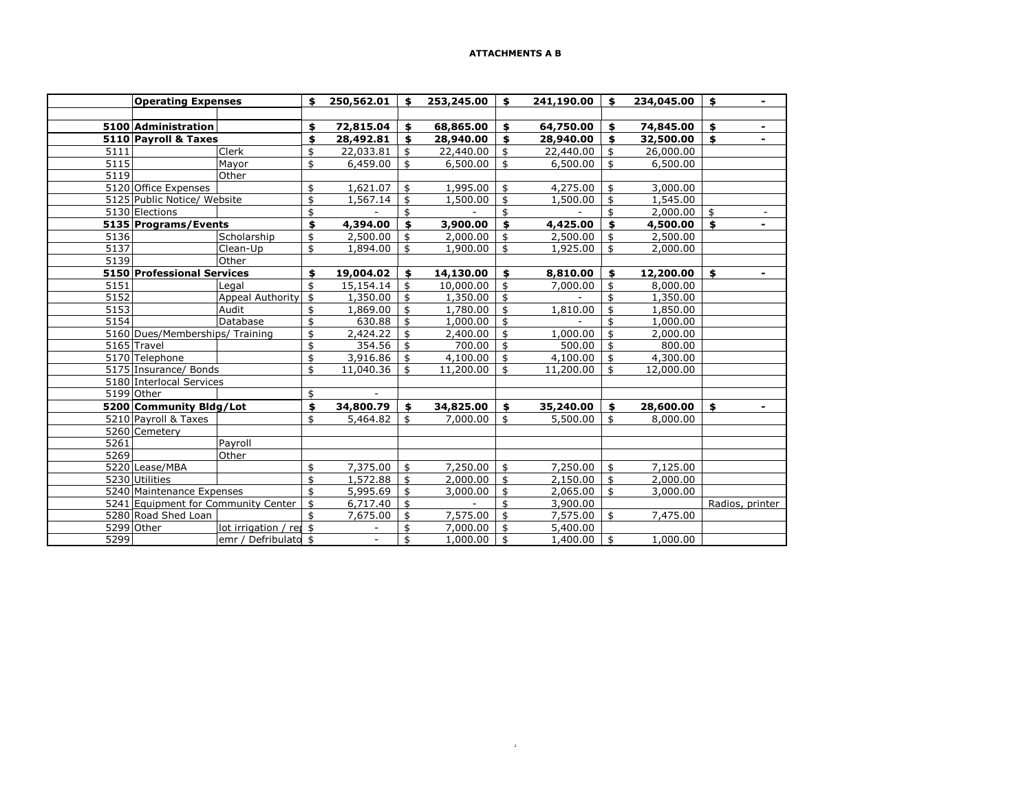|      | <b>Operating Expenses</b>             | \$<br>250,562.01 | S. | 253,245.00             | \$<br>241,190.00 | \$<br>234,045.00 | \$              | $\overline{\phantom{a}}$ |
|------|---------------------------------------|------------------|----|------------------------|------------------|------------------|-----------------|--------------------------|
|      |                                       |                  |    |                        |                  |                  |                 |                          |
|      | 5100 Administration                   | \$<br>72,815.04  | \$ | 68,865.00              | \$<br>64,750.00  | \$<br>74,845.00  | \$              | $\overline{\phantom{a}}$ |
|      | 5110 Payroll & Taxes                  | \$<br>28,492.81  | \$ | 28,940.00              | \$<br>28,940.00  | \$<br>32,500.00  | \$              | $\blacksquare$           |
| 5111 | Clerk                                 | \$<br>22,033.81  | \$ | 22,440.00              | \$<br>22,440.00  | \$<br>26,000.00  |                 |                          |
| 5115 | Mayor                                 | \$<br>6,459.00   | \$ | 6,500.00               | \$<br>6,500.00   | \$<br>6,500.00   |                 |                          |
| 5119 | Other                                 |                  |    |                        |                  |                  |                 |                          |
|      | 5120 Office Expenses                  | \$<br>1,621.07   | \$ | 1,995.00               | \$<br>4,275.00   | \$<br>3,000.00   |                 |                          |
|      | 5125 Public Notice/ Website           | \$<br>1,567.14   | \$ | 1,500.00               | \$<br>1,500.00   | \$<br>1,545.00   |                 |                          |
|      | 5130 Elections                        | \$               | \$ |                        | \$               | \$<br>2,000.00   | \$              |                          |
|      | 5135 Programs/Events                  | \$<br>4,394.00   | \$ | 3,900.00               | \$<br>4,425.00   | \$<br>4,500.00   | \$              | ۰                        |
| 5136 | Scholarship                           | \$<br>2,500.00   | \$ | 2,000.00               | \$<br>2,500.00   | \$<br>2,500.00   |                 |                          |
| 5137 | Clean-Up                              | \$<br>1,894.00   | \$ | 1,900.00               | \$<br>1,925.00   | \$<br>2,000.00   |                 |                          |
| 5139 | Other                                 |                  |    |                        |                  |                  |                 |                          |
|      | 5150 Professional Services            | \$<br>19,004.02  | \$ | 14,130.00              | \$<br>8,810.00   | \$<br>12,200.00  | \$              |                          |
| 5151 | Legal                                 | \$<br>15,154.14  | \$ | $10,000.\overline{00}$ | \$<br>7,000.00   | \$<br>8,000.00   |                 |                          |
| 5152 | Appeal Authority                      | \$<br>1,350.00   | \$ | 1,350.00               | \$               | \$<br>1,350.00   |                 |                          |
| 5153 | Audit                                 | \$<br>1,869.00   | \$ | 1,780.00               | \$<br>1,810.00   | \$<br>1,850.00   |                 |                          |
| 5154 | Database                              | \$<br>630.88     | \$ | 1,000.00               | \$               | \$<br>1,000.00   |                 |                          |
|      | 5160 Dues/Memberships/ Training       | \$<br>2,424.22   | \$ | 2,400.00               | \$<br>1,000.00   | \$<br>2,000.00   |                 |                          |
|      | 5165 Travel                           | \$<br>354.56     | \$ | 700.00                 | \$<br>500.00     | \$<br>800.00     |                 |                          |
|      | 5170 Telephone                        | \$<br>3,916.86   | \$ | 4,100.00               | \$<br>4,100.00   | \$<br>4,300.00   |                 |                          |
|      | 5175 Insurance/ Bonds                 | \$<br>11,040.36  | \$ | 11,200.00              | \$<br>11,200.00  | \$<br>12,000.00  |                 |                          |
|      | 5180 Interlocal Services              |                  |    |                        |                  |                  |                 |                          |
|      | 5199 Other                            | \$               |    |                        |                  |                  |                 |                          |
|      | 5200 Community Bldg/Lot               | \$<br>34,800.79  | \$ | 34,825.00              | \$<br>35,240.00  | \$<br>28,600.00  | \$              | $\blacksquare$           |
|      | 5210 Payroll & Taxes                  | \$<br>5,464.82   | \$ | 7,000.00               | \$<br>5,500.00   | \$<br>8,000.00   |                 |                          |
|      | 5260 Cemetery                         |                  |    |                        |                  |                  |                 |                          |
| 5261 | Payroll                               |                  |    |                        |                  |                  |                 |                          |
| 5269 | Other                                 |                  |    |                        |                  |                  |                 |                          |
|      | 5220 Lease/MBA                        | \$<br>7,375.00   | \$ | 7,250.00               | \$<br>7,250.00   | \$<br>7,125.00   |                 |                          |
|      | 5230 Utilities                        | \$<br>1,572.88   | \$ | 2,000.00               | \$<br>2,150.00   | \$<br>2,000.00   |                 |                          |
|      | 5240 Maintenance Expenses             | \$<br>5,995.69   | \$ | 3,000.00               | \$<br>2,065.00   | \$<br>3,000.00   |                 |                          |
|      | 5241 Equipment for Community Center   | \$<br>6,717.40   | \$ |                        | \$<br>3,900.00   |                  | Radios, printer |                          |
|      | 5280 Road Shed Loan                   | \$<br>7,675.00   | \$ | 7,575.00               | \$<br>7,575.00   | \$<br>7,475.00   |                 |                          |
|      | 5299 Other<br>lot irrigation / rej \$ |                  | \$ | 7,000.00               | \$<br>5,400.00   |                  |                 |                          |
| 5299 | emr / Defribulato \$                  |                  | \$ | 1,000.00               | \$<br>1,400.00   | \$<br>1,000.00   |                 |                          |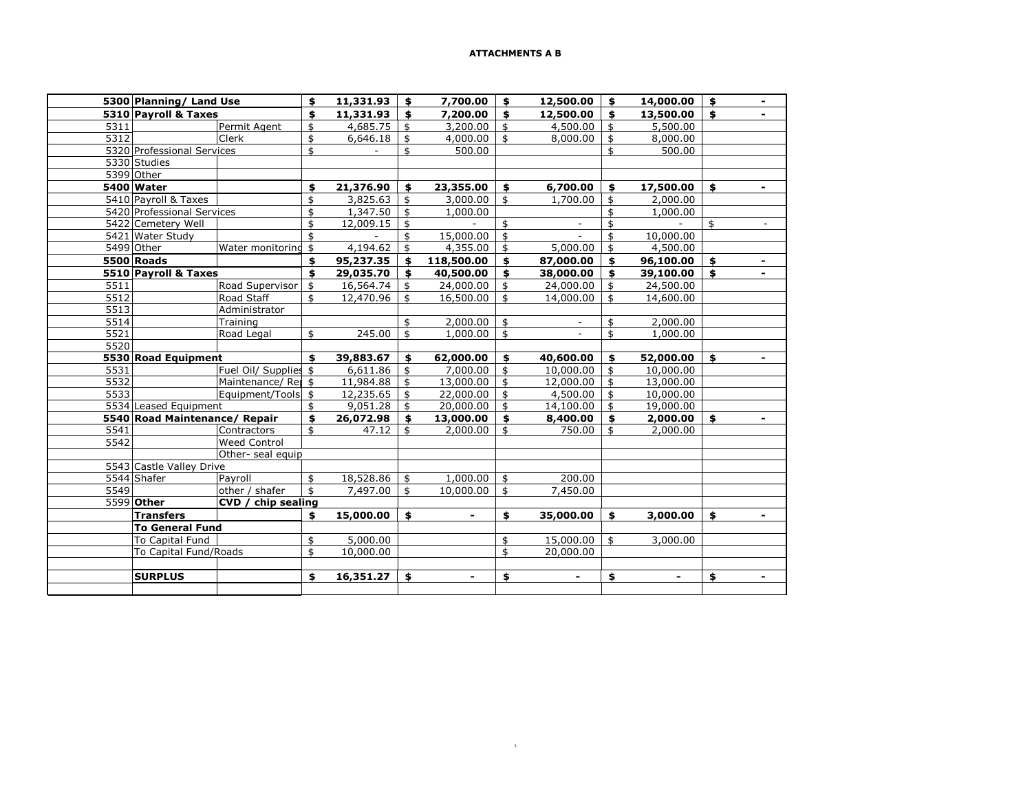|      | 5300 Planning/ Land Use       |                       |    | $11,331.93$ \$ |                    | 7,700.00       | \$            | 12,500.00 | \$                 | 14,000.00 | \$                  |
|------|-------------------------------|-----------------------|----|----------------|--------------------|----------------|---------------|-----------|--------------------|-----------|---------------------|
|      | 5310 Pavroll & Taxes          |                       |    | 11,331.93      | \$                 | 7,200.00       | \$            | 12,500.00 | \$                 | 13,500.00 | \$                  |
| 5311 |                               | Permit Agent          | \$ | 4,685.75       | \$                 | 3,200.00       | \$            | 4,500.00  | \$                 | 5,500.00  |                     |
| 5312 |                               | Clerk                 | \$ | 6,646.18       | \$                 | 4,000.00       | \$            | 8,000.00  | \$                 | 8,000.00  |                     |
|      | 5320 Professional Services    |                       | \$ | $\blacksquare$ | \$                 | 500.00         |               |           | \$                 | 500.00    |                     |
|      | 5330 Studies                  |                       |    |                |                    |                |               |           |                    |           |                     |
|      | 5399 Other                    |                       |    |                |                    |                |               |           |                    |           |                     |
|      | 5400 Water                    |                       | \$ | 21,376.90      | \$                 | 23,355.00      | \$            | 6,700.00  | \$                 | 17,500.00 | \$                  |
|      | 5410 Payroll & Taxes          |                       | \$ | 3,825.63       | \$                 | 3,000.00       | \$            | 1,700.00  | \$                 | 2,000.00  |                     |
|      | 5420 Professional Services    |                       | \$ | 1,347.50       | \$                 | 1,000.00       |               |           | \$                 | 1,000.00  |                     |
|      | 5422 Cemetery Well            |                       | \$ | 12,009.15      | \$                 |                | \$            |           | \$                 |           | \$<br>$\frac{1}{2}$ |
|      | 5421 Water Study              |                       | \$ | $\sim$         | \$                 | 15,000.00      | \$            |           | \$                 | 10,000.00 |                     |
|      | 5499 Other                    | Water monitoring      | \$ | 4,194.62       | \$                 | 4,355.00       | \$            | 5,000.00  | \$                 | 4,500.00  |                     |
|      | 5500 Roads                    |                       | \$ | 95,237.35      | \$                 | 118,500.00     | \$            | 87,000.00 | \$                 | 96,100.00 | \$                  |
|      | 5510 Payroll & Taxes          |                       | \$ | 29,035.70      | \$                 | 40,500.00      | \$            | 38,000.00 | \$                 | 39,100.00 | \$<br>٠             |
| 5511 |                               | Road Supervisor       | \$ | 16,564.74      | \$                 | 24,000.00      | \$            | 24,000.00 | \$                 | 24,500.00 |                     |
| 5512 |                               | Road Staff            | \$ | 12,470.96      | \$                 | 16,500.00      | \$            | 14,000.00 | \$                 | 14,600.00 |                     |
| 5513 |                               | Administrator         |    |                |                    |                |               |           |                    |           |                     |
| 5514 |                               | Training              |    |                | \$                 | 2,000.00       | \$            |           | \$                 | 2,000.00  |                     |
| 5521 |                               | Road Legal            | \$ | 245.00         | $\mathbf{\hat{S}}$ | 1,000.00       | \$            | $\sim$    | \$                 | 1,000.00  |                     |
| 5520 |                               |                       |    |                |                    |                |               |           |                    |           |                     |
|      | 5530 Road Equipment           |                       | \$ | 39,883.67      | \$                 | 62,000.00      | \$            | 40,600.00 | \$                 | 52,000.00 | \$                  |
| 5531 |                               | Fuel Oil/ Supplies \$ |    | 6,611.86       | \$                 | $7,000.00$ \$  |               | 10,000.00 | \$                 | 10,000.00 |                     |
| 5532 |                               | Maintenance/Rei \$    |    | 11,984.88      | \$                 | $13,000.00$ \$ |               | 12,000.00 | \$                 | 13,000.00 |                     |
| 5533 |                               | Equipment/Tools \$    |    | $12,235.65$ \$ |                    | $22,000.00$ \$ |               | 4,500.00  | $\mathbf{\hat{S}}$ | 10,000.00 |                     |
|      | 5534 Leased Equipment         |                       | \$ | 9,051.28       | - \$               | $20,000.00$ \$ |               | 14,100.00 | $\mathbf{\hat{z}}$ | 19,000.00 |                     |
|      | 5540 Road Maintenance/ Repair |                       | \$ | 26,072.98      | \$                 | 13,000.00      | \$            | 8,400.00  | \$                 | 2,000.00  | \$<br>۰             |
| 5541 |                               | Contractors           | \$ | 47.12          | \$                 | 2,000.00       | \$            | 750.00    | \$                 | 2,000.00  |                     |
| 5542 |                               | <b>Weed Control</b>   |    |                |                    |                |               |           |                    |           |                     |
|      |                               | Other- seal equip     |    |                |                    |                |               |           |                    |           |                     |
|      | 5543 Castle Valley Drive      |                       |    |                |                    |                |               |           |                    |           |                     |
|      | 5544 Shafer                   | Payroll               | \$ | 18,528.86      | $\frac{1}{2}$      | 1,000.00       | $\frac{1}{2}$ | 200.00    |                    |           |                     |
| 5549 |                               | other / shafer        | \$ | 7,497.00       | \$                 | $10,000.00$ \$ |               | 7,450.00  |                    |           |                     |
|      | 5599 Other                    | CVD / chip sealing    |    |                |                    |                |               |           |                    |           |                     |
|      | <b>Transfers</b>              |                       | \$ | 15,000.00      | \$                 |                | \$            | 35,000.00 | \$                 | 3,000.00  | \$                  |
|      | <b>To General Fund</b>        |                       |    |                |                    |                |               |           |                    |           |                     |
|      | To Capital Fund               |                       | \$ | 5,000.00       |                    |                | \$            | 15,000.00 | \$                 | 3,000.00  |                     |
|      | To Capital Fund/Roads         |                       | \$ | 10,000.00      |                    |                | \$            | 20,000.00 |                    |           |                     |
|      |                               |                       |    |                |                    |                |               |           |                    |           |                     |
|      | <b>SURPLUS</b>                |                       | \$ | 16,351.27      | \$                 |                | \$            |           | \$                 |           | \$<br>۰             |
|      |                               |                       |    |                |                    |                |               |           |                    |           |                     |